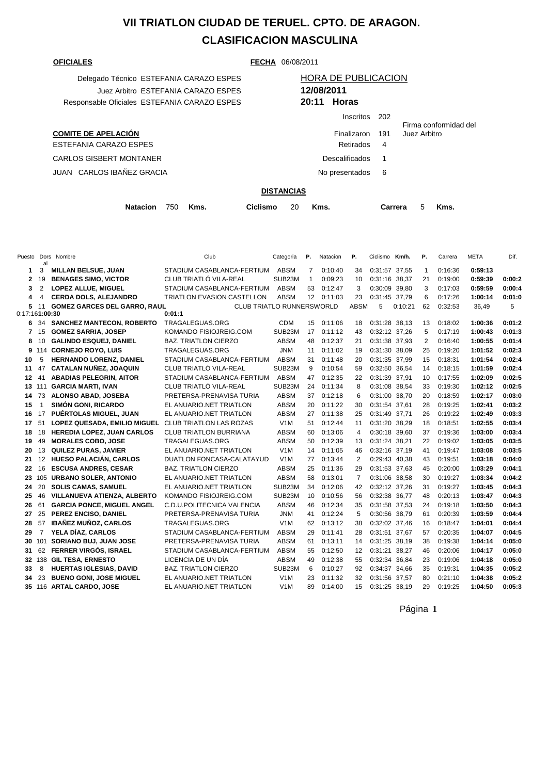## **VII TRIATLON CIUDAD DE TERUEL. CPTO. DE ARAGON. CLASIFICACION MASCULINA**

**COMITE DE APELACIÓN** ESTEFANIA CARAZO ESPES CARLOS GISBERT MONTANER JUAN CARLOS IBAÑEZ GRACIA

**OFICIALES FECHA** 06/08/2011

| Delegado Técnico ESTEFANIA CARAZO ESPES      |             | <b>HORA DE PUBLICACION</b> |
|----------------------------------------------|-------------|----------------------------|
| Juez Arbitro ESTEFANIA CARAZO ESPES          | 12/08/2011  |                            |
| Responsable Oficiales ESTEFANIA CARAZO ESPES | 20:11 Horas |                            |

## Juez Arbitro ESTEFANIA CARAZO ESPES **12/08/2011** Responsable Oficiales ESTEFANIA CARAZO ESPES **20:11 Horas** Inscritos 202

|                  |    | Firma conformidad del |
|------------------|----|-----------------------|
| Finalizaron 191  |    | Juez Arbitro          |
| Retirados        |    |                       |
| Descalificados 1 |    |                       |
| No presentados   | -6 |                       |
|                  |    |                       |

## **DISTANCIAS**

|  | Natacion 750 Kms. |  |  | Ciclismo 20 Kms. |  |  | Carrera 5 Kms. |  |  |
|--|-------------------|--|--|------------------|--|--|----------------|--|--|
|--|-------------------|--|--|------------------|--|--|----------------|--|--|

|                | al                       | Puesto Dors Nombre                  | Club                              | Categoria           | Р.           | Natacion | Р.          | Ciclismo Km/h. |         | Р.           | Carrera | <b>META</b> | Dif.   |
|----------------|--------------------------|-------------------------------------|-----------------------------------|---------------------|--------------|----------|-------------|----------------|---------|--------------|---------|-------------|--------|
| 1              | 3                        | <b>MILLAN BELSUE, JUAN</b>          | STADIUM CASABLANCA-FERTIUM        | ABSM                | 7            | 0:10:40  | 34          | 0:31:57 37,55  |         | $\mathbf{1}$ | 0:16:36 | 0:59:13     |        |
| $\mathbf{2}$   | 19                       | <b>BENAGES SIMO, VICTOR</b>         | CLUB TRIATLÓ VILA-REAL            | SUB <sub>23</sub> M | $\mathbf{1}$ | 0:09:23  | 10          | 0:31:16        | 38.37   | 21           | 0:19:00 | 0:59:39     | 0:00:2 |
| 3              | $\overline{2}$           | LOPEZ ALLUE, MIGUEL                 | STADIUM CASABLANCA-FERTIUM        | ABSM                | 53           | 0:12:47  | 3           | 0:30:09        | 39,80   | 3            | 0:17:03 | 0:59:59     | 0:00:4 |
| 4              | $\overline{4}$           | <b>CERDA DOLS, ALEJANDRO</b>        | <b>TRIATLON EVASION CASTELLON</b> | <b>ABSM</b>         | 12           | 0:11:03  | 23          | 0:31:45 37.79  |         | 6            | 0:17:26 | 1:00:14     | 0:01:0 |
| 5              | -11                      | <b>GOMEZ GARCES DEL GARRO, RAUL</b> | <b>CLUB TRIATLO RUNNERSWORLD</b>  |                     |              |          | <b>ABSM</b> | 5              | 0:10:21 | 62           | 0:32:53 | 36,49       | 5      |
| 0:17:161:00:30 |                          |                                     | 0:01:1                            |                     |              |          |             |                |         |              |         |             |        |
| 6              | 34                       | <b>SANCHEZ MANTECON, ROBERTO</b>    | TRAGALEGUAS.ORG                   | <b>CDM</b>          | 15           | 0:11:06  | 18          | 0:31:28 38,13  |         | 13           | 0:18:02 | 1:00:36     | 0:01:2 |
| 7              | 15                       | <b>GOMEZ SARRIA, JOSEP</b>          | KOMANDO FISIOJREIG.COM            | SUB23M              | 17           | 0:11:12  | 43          | 0:32:12 37,26  |         | 5            | 0:17:19 | 1:00:43     | 0:01:3 |
| 8              | 10                       | <b>GALINDO ESQUEJ, DANIEL</b>       | <b>BAZ. TRIATLON CIERZO</b>       | <b>ABSM</b>         | 48           | 0:12:37  | 21          | 0:31:38 37,93  |         | 2            | 0:16:40 | 1:00:55     | 0:01:4 |
|                | 9 114                    | <b>CORNEJO ROYO, LUIS</b>           | TRAGALEGUAS.ORG                   | <b>JNM</b>          | 11           | 0:11:02  | 19          | 0:31:30 38,09  |         | 25           | 0:19:20 | 1:01:52     | 0:02:3 |
| 10             | 5                        | HERNANDO LORENZ, DANIEL             | STADIUM CASABLANCA-FERTIUM        | <b>ABSM</b>         | 31           | 0:11:48  | 20          | 0:31:35 37.99  |         | 15           | 0:18:31 | 1:01:54     | 0:02:4 |
| 11             | 47                       | <b>CATALAN NUÑEZ, JOAQUIN</b>       | CLUB TRIATLÓ VILA-REAL            | SUB23M              | 9            | 0:10:54  | 59          | 0:32:50 36,54  |         | 14           | 0:18:15 | 1:01:59     | 0:02:4 |
| 12             | 41                       | <b>ABADIAS PELEGRIN, AITOR</b>      | STADIUM CASABLANCA-FERTIUM        | <b>ABSM</b>         | 47           | 0:12:35  | 22          | 0:31:39 37.91  |         | 10           | 0:17:55 | 1:02:09     | 0:02:5 |
|                | 13 111                   | <b>GARCIA MARTI, IVAN</b>           | CLUB TRIATLÓ VILA-REAL            | SUB23M              | 24           | 0:11:34  | 8           | 0:31:08 38,54  |         | 33           | 0:19:30 | 1:02:12     | 0:02:5 |
| 14             | 73                       | <b>ALONSO ABAD, JOSEBA</b>          | PRETERSA-PRENAVISA TURIA          | <b>ABSM</b>         | 37           | 0:12:18  | 6           | 0:31:00        | 38.70   | 20           | 0:18:59 | 1:02:17     | 0:03:0 |
| 15             | $\overline{\phantom{a}}$ | <b>SIMÓN GONI, RICARDO</b>          | EL ANUARIO.NET TRIATLON           | <b>ABSM</b>         | 20           | 0:11:22  | 30          | 0:31:54 37,61  |         | 28           | 0:19:25 | 1:02:41     | 0:03:2 |
| 16             | 17                       | PUÉRTOLAS MIGUEL, JUAN              | EL ANUARIO.NET TRIATLON           | <b>ABSM</b>         | 27           | 0:11:38  | 25          | 0:31:49 37,71  |         | 26           | 0:19:22 | 1:02:49     | 0:03:3 |
| 17             | 51                       | LOPEZ QUESADA, EMILIO MIGUEL        | <b>CLUB TRIATLON LAS ROZAS</b>    | V1M                 | 51           | 0:12:44  | 11          | 0:31:20 38,29  |         | 18           | 0:18:51 | 1:02:55     | 0:03:4 |
| 18             | 18                       | <b>HEREDIA LOPEZ, JUAN CARLOS</b>   | <b>CLUB TRIATLON BURRIANA</b>     | <b>ABSM</b>         | 60           | 0:13:06  | 4           | 0:30:18 39,60  |         | 37           | 0:19:36 | 1:03:00     | 0:03:4 |
| 19             | 49                       | <b>MORALES COBO, JOSE</b>           | TRAGALEGUAS.ORG                   | <b>ABSM</b>         | 50           | 0:12:39  | 13          | 0:31:24 38,21  |         | 22           | 0:19:02 | 1:03:05     | 0:03:5 |
| 20             | 13                       | <b>QUILEZ PURAS, JAVIER</b>         | EL ANUARIO.NET TRIATLON           | V <sub>1</sub> M    | 14           | 0:11:05  | 46          | 0:32:16 37,19  |         | 41           | 0:19:47 | 1:03:08     | 0:03:5 |
| 21             | 12                       | <b>HUESO PALACIÁN, CARLOS</b>       | DUATLON FONCASA-CALATAYUD         | V1M                 | 77           | 0:13:44  | 2           | 0:29:43 40.38  |         | 43           | 0:19:51 | 1:03:18     | 0:04:0 |
| 22             | 16                       | <b>ESCUSA ANDRES, CESAR</b>         | <b>BAZ. TRIATLON CIERZO</b>       | <b>ABSM</b>         | 25           | 0:11:36  | 29          | 0:31:53 37,63  |         | 45           | 0:20:00 | 1:03:29     | 0:04:1 |
| 23             |                          | 105 URBANO SOLER, ANTONIO           | EL ANUARIO.NET TRIATLON           | <b>ABSM</b>         | 58           | 0:13:01  | 7           | 0:31:06 38,58  |         | 30           | 0:19:27 | 1:03:34     | 0:04:2 |
| 24             | 20                       | <b>SOLIS CAMAS, SAMUEL</b>          | EL ANUARIO.NET TRIATLON           | SUB23M              | 34           | 0:12:06  | 42          | 0:32:12 37,26  |         | 31           | 0:19:27 | 1:03:45     | 0:04:3 |
| 25             | 46                       | VILLANUEVA ATIENZA, ALBERTO         | KOMANDO FISIOJREIG.COM            | SUB23M              | 10           | 0:10:56  | 56          | 0:32:38 36,77  |         | 48           | 0:20:13 | 1:03:47     | 0:04:3 |
| 26             | 61                       | <b>GARCIA PONCE, MIGUEL ANGEL</b>   | C.D.U.POLITECNICA VALENCIA        | <b>ABSM</b>         | 46           | 0:12:34  | 35          | 0:31:58 37,53  |         | 24           | 0:19:18 | 1:03:50     | 0:04:3 |
| 27             | 25                       | PEREZ ENCISO, DANIEL                | PRETERSA-PRENAVISA TURIA          | <b>JNM</b>          | 41           | 0:12:24  | 5           | 0:30:56 38,79  |         | 61           | 0:20:39 | 1:03:59     | 0:04:4 |
| 28             | 57                       | <b>IBAÑEZ MUÑOZ, CARLOS</b>         | TRAGALEGUAS.ORG                   | V1M                 | 62           | 0:13:12  | 38          | 0:32:02 37,46  |         | 16           | 0:18:47 | 1:04:01     | 0:04:4 |
| 29             | $\overline{7}$           | YELA DÍAZ, CARLOS                   | STADIUM CASABLANCA-FERTIUM        | <b>ABSM</b>         | 29           | 0:11:41  | 28          | 0:31:51 37,67  |         | 57           | 0:20:35 | 1:04:07     | 0:04:5 |
| 30             | 101                      | SORIANO BUJ, JUAN JOSE              | PRETERSA-PRENAVISA TURIA          | <b>ABSM</b>         | 61           | 0:13:11  | 14          | 0:31:25 38,19  |         | 38           | 0:19:38 | 1:04:14     | 0:05:0 |
| 31             | 62                       | FERRER VIRGÓS, ISRAEL               | STADIUM CASABLANCA-FERTIUM        | <b>ABSM</b>         | 55           | 0:12:50  | 12          | 0:31:21        | 38,27   | 46           | 0:20:06 | 1:04:17     | 0:05:0 |
| 32             |                          | 138 GIL TESA, ERNESTO               | LICENCIA DE UN DÍA                | <b>ABSM</b>         | 49           | 0:12:38  | 55          | 0:32:34        | 36,84   | 23           | 0:19:06 | 1:04:18     | 0:05:0 |
| 33             | 8                        | <b>HUERTAS IGLESIAS, DAVID</b>      | <b>BAZ. TRIATLON CIERZO</b>       | SUB23M              | 6            | 0:10:27  | 92          | 0:34:37 34,66  |         | 35           | 0:19:31 | 1:04:35     | 0:05:2 |
| 34             | 23                       | <b>BUENO GONI, JOSE MIGUEL</b>      | EL ANUARIO.NET TRIATLON           | V <sub>1</sub> M    | 23           | 0:11:32  | 32          | 0:31:56 37,57  |         | 80           | 0:21:10 | 1:04:38     | 0:05:2 |
|                |                          | 35 116 ARTAL CARDO, JOSE            | EL ANUARIO.NET TRIATLON           | V1M                 | 89           | 0:14:00  | 15          | 0:31:25 38.19  |         | 29           | 0:19:25 | 1:04:50     | 0:05:3 |

Página **1**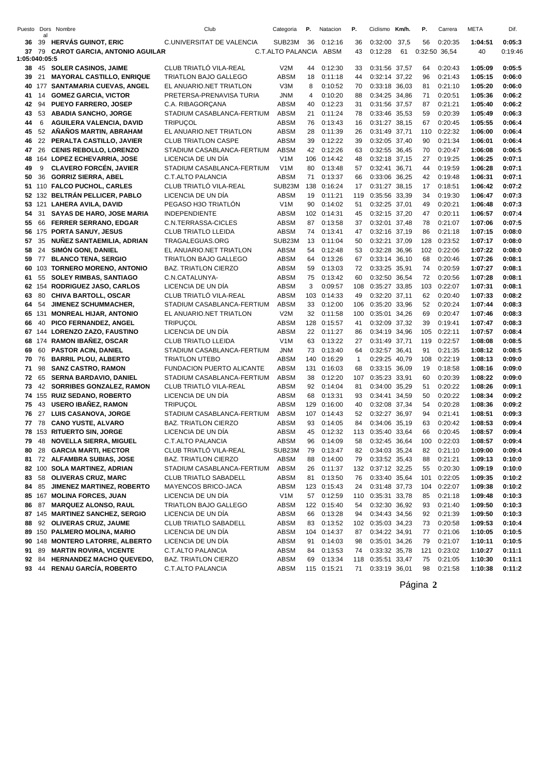| Puesto        | al    | Dors Nombre                                              | Club                                             | Categoria          | Ρ.        | Natacion           | Р.           | Ciclismo Km/h.                 |       | Ρ.       | Carrera            | META               | Dif.             |
|---------------|-------|----------------------------------------------------------|--------------------------------------------------|--------------------|-----------|--------------------|--------------|--------------------------------|-------|----------|--------------------|--------------------|------------------|
| 36            |       | 39 HERVAS GUINOT, ERIC                                   | C.UNIVERSITAT DE VALENCIA                        | SUB23M             | 36        | 0:12:16            | 36           | 0:32:00                        | 37,5  | 56       | 0:20:35            | 1:04:51            | 0:05:3           |
| 37            | 79    | <b>CAROT GARCIA, ANTONIO AGUILAR</b>                     |                                                  | C.T.ALTO PALANCIA  |           | ABSM               | 43           | 0:12:28                        | 61    |          | 0:32:50 36,54      | 40                 | 0:19:46          |
| 1:05:040:05:5 |       |                                                          |                                                  |                    |           |                    |              |                                |       |          |                    |                    |                  |
| 38            |       | 45 SOLER CASINOS, JAIME                                  | CLUB TRIATLÓ VILA-REAL                           | V2M                | 44        | 0:12:30            | 33           | 0:31:56 37,57                  |       | 64       | 0:20:43            | 1:05:09            | 0:05:5           |
| 39            | 21    | <b>MAYORAL CASTILLO, ENRIQUE</b>                         | TRIATLON BAJO GALLEGO                            | <b>ABSM</b>        | 18        | 0:11:18            | 44           | 0:32:14 37,22                  |       | 96       | 0:21:43            | 1:05:15            | 0:06:0           |
| 40            |       | 177 SANTAMARIA CUEVAS, ANGEL                             | EL ANUARIO.NET TRIATLON                          | V3M                | 8         | 0:10:52            | 70           | 0:33:18 36,03                  |       | 81       | 0:21:10            | 1:05:20            | 0:06:0           |
| 41            | 14    | <b>GOMEZ GARCIA, VICTOR</b>                              | PRETERSA-PRENAVISA TURIA                         | JNM                | 4         | 0:10:20            | 88           | 0:34:25 34,86                  |       | 71       | 0:20:51            | 1:05:36            | 0:06:2           |
| 42            | 94    | <b>PUEYO FARRERO, JOSEP</b>                              | C.A. RIBAGORÇANA                                 | <b>ABSM</b>        | 40        | 0:12:23            | 31           | 0:31:56 37,57                  |       | 87       | 0:21:21            | 1:05:40            | 0:06:2           |
| 43            | 53    | <b>ABADIA SANCHO, JORGE</b>                              | STADIUM CASABLANCA-FERTIUM                       | <b>ABSM</b>        | 21        | 0:11:24            | 78           | 0:33:46 35,53                  |       | 59       | 0:20:39            | 1:05:49            | 0:06:3           |
| 44            | 6     | <b>AGUILERA VALENCIA, DAVID</b>                          | <b>TRIPUÇOL</b>                                  | <b>ABSM</b>        | 76        | 0:13:43            | 16           | 0:31:27 38,15                  |       | 67       | 0:20:45            | 1:05:55            | 0:06:4           |
| 45            | 52    | AÑAÑOS MARTIN, ABRAHAM                                   | EL ANUARIO.NET TRIATLON                          | <b>ABSM</b>        | 28        | 0:11:39            | 26           | 0:31:49 37,71                  |       | 110      | 0:22:32            | 1:06:00            | 0:06:4           |
| 46            |       | 22 PERALTA CASTILLO, JAVIER                              | <b>CLUB TRIATLON CASPE</b>                       | <b>ABSM</b>        | 39        | 0:12:22            | 39           | 0:32:05 37,40                  |       | 90       | 0:21:34            | 1:06:01            | 0:06:4           |
| 47            | 26    | <b>CENIS REBOLLO, LORENZO</b>                            | STADIUM CASABLANCA-FERTIUM                       | <b>ABSM</b>        | 42        | 0:12:26            | 63           | 0:32:55 36,45                  |       | 70       | 0:20:47            | 1:06:08            | 0:06:5           |
| 48            |       | 164 LOPEZ ECHEVARRIA, JOSE                               | LICENCIA DE UN DÍA                               | V1M                | 106       | 0:14:42            | 48           | 0:32:18 37,15                  |       | 27       | 0:19:25            | 1:06:25            | 0:07:1           |
| 49            | 9     | <b>CLAVERO FORCÉN, JAVIER</b>                            | STADIUM CASABLANCA-FERTIUM                       | V <sub>1</sub> M   | 80        | 0:13:48            | 57           | 0:32:41 36,71                  |       | 44       | 0:19:59            | 1:06:28            | 0:07:1           |
| 50            | 36    | <b>GORRIZ SIERRA, ABEL</b>                               | C.T.ALTO PALANCIA                                | <b>ABSM</b>        | 71        | 0:13:37            | 66           | 0:33:06 36,25                  |       | 42       | 0:19:48            | 1:06:31            | 0:07:1           |
| 51            |       | 110 FALCO PUCHOL, CARLES                                 | CLUB TRIATLÓ VILA-REAL                           | SUB23M             | 138       | 0:16:24            | 17           | 0:31:27 38,15                  |       | 17       | 0:18:51            | 1:06:42            | 0:07:2           |
| 52            |       | 132 BELTRÁN PELLICER, PABLO                              | LICENCIA DE UN DÍA                               | <b>ABSM</b>        | 19        | 0:11:21            | 119          | 0:35:56 33,39                  |       | 34       | 0:19:30            | 1:06:47            | 0:07:3           |
| 53            |       | 121 LAHERA AVILA, DAVID                                  | PEGASO H3O TRIATLÓN                              | V1M                | 90        | 0:14:02            | 51           | 0:32:25 37,01                  |       | 49       | 0:20:21            | 1:06:48            | 0:07:3           |
| 54            | 31    | <b>SAYAS DE HARO, JOSE MARIA</b>                         | <b>INDEPENDIENTE</b>                             | <b>ABSM</b>        | 102       | 0:14:31            | 45           | 0:32:15 37,20                  |       | 47       | 0:20:11            | 1:06:57            | 0:07:4           |
| 55            |       | 66 FERRER SERRANO, EDGAR                                 | C.N.TERRASSA-CICLES                              | ABSM               | 87        | 0:13:58            | 37           | 0:32:01 37,48                  |       | 78       | 0:21:07            | 1:07:06            | 0:07:5           |
| 56            |       | 175 PORTA SANUY, JESUS                                   | <b>CLUB TRIATLO LLEIDA</b>                       | <b>ABSM</b>        | 74        | 0:13:41            | 47           | 0:32:16 37,19                  |       | 86       | 0:21:18            | 1:07:15            | 0:08:0           |
| 57            | 35    | NUÑEZ SANTAEMILIA, ADRIAN                                | TRAGALEGUAS.ORG                                  | SUB23M             | 13        | 0:11:04            | 50           | 0:32:21 37,09                  |       | 128      | 0:23:52            | 1:07:17            | 0:08:0           |
| 58            | 24    | <b>SIMÓN GONI, DANIEL</b>                                | EL ANUARIO.NET TRIATLON                          | <b>ABSM</b>        | 54        | 0:12:48            | 53           | 0:32:28 36,96                  |       | 102      | 0:22:06            | 1:07:22            | 0:08:0           |
| 59            | 77    | <b>BLANCO TENA, SERGIO</b>                               | <b>TRIATLON BAJO GALLEGO</b>                     | <b>ABSM</b>        | 64        | 0:13:26            | 67           | 0:33:14 36,10                  |       | 68       | 0:20:46            | 1:07:26            | 0:08:1           |
| 60            |       | 103 TORNERO MORENO, ANTONIO                              | <b>BAZ. TRIATLON CIERZO</b>                      | ABSM               | 59        | 0:13:03            | 72           | 0:33:25 35,91                  |       | 74       | 0:20:59            | 1:07:27            | 0:08:1           |
| 61            | 55    | <b>SOLEY RIMBAS, SANTIAGO</b>                            | C.N.CATALUNYA-                                   | <b>ABSM</b>        | 75        | 0:13:42            | 60           | 0:32:50 36,54                  |       | 72       | 0:20:56            | 1:07:28            | 0:08:1           |
| 62            |       | 154 RODRIGUEZ JASO, CARLOS                               | LICENCIA DE UN DÍA                               | <b>ABSM</b>        | 3         | 0:09:57            | 108          | 0:35:27 33,85                  |       | 103      | 0:22:07            | 1:07:31            | 0:08:1           |
| 63            | 80    | <b>CHIVA BARTOLL, OSCAR</b>                              | CLUB TRIATLÓ VILA-REAL                           | <b>ABSM</b>        | 103       | 0:14:33            | 49           | 0:32:20 37,11                  |       | 62       | 0:20:40            | 1:07:33            | 0:08:2           |
| 64            | 54    | <b>JIMENEZ SCHUMMACHER,</b>                              | STADIUM CASABLANCA-FERTIUM                       | <b>ABSM</b>        | 33        | 0:12:00            | 106          | 0:35:20 33,96                  |       | 52       | 0:20:24            | 1:07:44            | 0:08:3           |
| 65<br>66      | 40    | 131 MONREAL HIJAR, ANTONIO<br>PICO FERNANDEZ, ANGEL      | EL ANUARIO.NET TRIATLON                          | V2M<br><b>ABSM</b> | 32<br>128 | 0:11:58            | 100          | 0:35:01 34,26                  |       | 69<br>39 | 0:20:47<br>0:19:41 | 1:07:46<br>1:07:47 | 0:08:3<br>0:08:3 |
|               |       |                                                          | <b>TRIPUÇOL</b>                                  | <b>ABSM</b>        | 22        | 0:15:57<br>0:11:27 | 41           | 0:32:09 37,32                  |       | 105      | 0:22:11            |                    | 0:08:4           |
| 68            |       | 67 144 LORENZO ZAZO, FAUSTINO<br>174 RAMON IBAÑEZ, OSCAR | LICENCIA DE UN DÍA<br><b>CLUB TRIATLO LLEIDA</b> | V1M                | 63        | 0:13:22            | 86<br>27     | 0:34:19 34,96<br>0:31:49 37,71 |       | 119      | 0:22:57            | 1:07:57<br>1:08:08 | 0:08:5           |
| 69            | 60    | <b>PASTOR ACIN, DANIEL</b>                               | STADIUM CASABLANCA-FERTIUM                       | <b>JNM</b>         | 73        | 0:13:40            | 64           | 0:32:57 36,41                  |       | 91       | 0:21:35            | 1:08:12            | 0:08:5           |
| 70            | 76    | <b>BARRIL PLOU, ALBERTO</b>                              | <b>TRIATLON UTEBO</b>                            | ABSM               | 140       | 0:16:29            | $\mathbf{1}$ | 0:29:25 40,79                  |       | 108      | 0:22:19            | 1:08:13            | 0:09:0           |
| 71            | 98    | <b>SANZ CASTRO, RAMON</b>                                | <b>FUNDACION PUERTO ALICANTE</b>                 | <b>ABSM</b>        | 131       | 0:16:03            | 68           | 0:33:15 36,09                  |       | 19       | 0:18:58            | 1:08:16            | 0:09:0           |
| 72            | 65    | <b>SERNA BARDAVIO, DANIEL</b>                            | STADIUM CASABLANCA-FERTIUM                       | <b>ABSM</b>        | 38        | 0:12:20            | 107          | 0:35:23 33,91                  |       | 60       | 0:20:39            | 1:08:22            | 0:09:0           |
| 73            | 42    | <b>SORRIBES GONZALEZ, RAMON</b>                          | CLUB TRIATLÓ VILA-REAL                           | <b>ABSM</b>        | 92        | 0:14:04            | 81           | 0:34:00 35,29                  |       | 51       | 0:20:22            | 1:08:26            | 0:09:1           |
| 74            |       | 155 RUIZ SEDANO, ROBERTO                                 | LICENCIA DE UN DÍA                               | <b>ABSM</b>        | 68        | 0:13:31            | 93           | 0:34:41 34,59                  |       | 50       | 0:20:22            | 1:08:34            | 0:09:2           |
| 75            | 43    | <b>USERO IBAÑEZ, RAMON</b>                               | <b>TRIPUÇOL</b>                                  | ABSM               | 129       | 0:16:00            | 40           | 0:32:08 37,34                  |       | 54       | 0:20:28            | 1:08:36            | 0:09:2           |
| 76            | 27    | LUIS CASANOVA, JORGE                                     | STADIUM CASABLANCA-FERTIUM                       | <b>ABSM</b>        | 107       | 0:14:43            | 52           | 0:32:27 36,97                  |       | 94       | 0:21:41            | 1:08:51            | 0:09:3           |
| 77            | 78    | <b>CANO YUSTE, ALVARO</b>                                | <b>BAZ. TRIATLON CIERZO</b>                      | <b>ABSM</b>        | 93        | 0:14:05            | 84           | 0:34:06                        | 35,19 | 63       | 0:20:42            | 1:08:53            | 0:09:4           |
|               |       | 78 153 RITUERTO SIN, JORGE                               | LICENCIA DE UN DÍA                               | <b>ABSM</b>        | 45        | 0:12:32            |              | 113 0:35:40 33.64              |       | 66       | 0:20:45            | 1:08:57            | 0:09:4           |
| 79            | 48    | <b>NOVELLA SIERRA, MIGUEL</b>                            | C.T.ALTO PALANCIA                                | ABSM               | 96        | 0:14:09            | 58           | 0:32:45 36,64                  |       | 100      | 0:22:03            | 1:08:57            | 0:09:4           |
| 80            |       | 28 GARCIA MARTI, HECTOR                                  | CLUB TRIATLÓ VILA-REAL                           | SUB23M             | 79        | 0:13:47            | 82           | 0:34:03 35,24                  |       | 82       | 0:21:10            | 1:09:00            | 0:09:4           |
| 81            |       | 72 ALFAMBRA SUBIAS, JOSE                                 | <b>BAZ. TRIATLON CIERZO</b>                      | <b>ABSM</b>        | 88        | 0:14:00            | 79           | 0:33:52 35,43                  |       | 88       | 0:21:21            | 1:09:13            | 0:10:0           |
| 82            |       | 100 SOLA MARTINEZ, ADRIAN                                | STADIUM CASABLANCA-FERTIUM                       | <b>ABSM</b>        | 26        | 0:11:37            |              | 132 0:37:12 32,25              |       | 55       | 0:20:30            | 1:09:19            | 0:10:0           |
| 83            | 58    | <b>OLIVERAS CRUZ, MARC</b>                               | <b>CLUB TRIATLO SABADELL</b>                     | ABSM               | 81        | 0:13:50            | 76           | 0:33:40 35,64                  |       | 101      | 0:22:05            | 1:09:35            | 0:10:2           |
| 84            | 85    | JIMENEZ MARTINEZ, ROBERTO                                | MAYENCOS BRICO-JACA                              | <b>ABSM</b>        |           | 123 0:15:43        | 24           | 0:31:48 37,73                  |       | 104      | 0:22:07            | 1:09:38            | 0:10:2           |
| 85            |       | 167 MOLINA FORCES, JUAN                                  | LICENCIA DE UN DÍA                               | V <sub>1</sub> M   | 57        | 0:12:59            | 110          | 0:35:31 33,78                  |       | 85       | 0:21:18            | 1:09:48            | 0:10:3           |
| 86            | 87    | <b>MARQUEZ ALONSO, RAUL</b>                              | TRIATLON BAJO GALLEGO                            | ABSM               |           | 122 0:15:40        | 54           | 0:32:30 36,92                  |       | 93       | 0:21:40            | 1:09:50            | 0:10:3           |
|               |       | 87 145 MARTINEZ SANCHEZ, SERGIO                          | LICENCIA DE UN DÍA                               | ABSM               | 66        | 0:13:28            | 94           | 0:34:43 34,56                  |       | 92       | 0:21:39            | 1:09:50            | 0:10:3           |
| 88            |       | 92 OLIVERAS CRUZ, JAUME                                  | <b>CLUB TRIATLO SABADELL</b>                     | <b>ABSM</b>        | 83        | 0:13:52            |              | 102 0:35:03 34,23              |       | 73       | 0:20:58            | 1:09:53            | 0:10:4           |
| 89            |       | 150 PALMERO MOLINA, MARIO                                | LICENCIA DE UN DÍA                               | ABSM               |           | 104 0:14:37        | 87           | 0:34:22 34,91                  |       | 77       | 0:21:06            | 1:10:05            | 0:10:5           |
| 90            |       | 148 MONTERO LATORRE, ALBERTO                             | LICENCIA DE UN DÍA                               | ABSM               | 91        | 0:14:03            | 98           | 0:35:01 34,26                  |       | 79       | 0:21:07            | 1:10:11            | 0:10:5           |
| 91            | 89    | <b>MARTIN ROVIRA, VICENTE</b>                            | C.T.ALTO PALANCIA                                | ABSM               | 84        | 0:13:53            | 74           | 0:33:32 35,78                  |       | 121      | 0:23:02            | 1:10:27            | 0:11:1           |
| 92            | 84    | <b>HERNANDEZ MACHO QUEVEDO,</b>                          | <b>BAZ. TRIATLON CIERZO</b>                      | ABSM               | 69        | 0:13:34            | 118          | 0:35:51 33,47                  |       | 75       | 0:21:05            | 1:10:30            | 0:11:1           |
|               | 93 44 | RENAU GARCÍA, ROBERTO                                    | C.T.ALTO PALANCIA                                | ABSM               |           | 115 0:15:21        | 71           | 0:33:19 36,01                  |       | 98       | 0:21:58            | 1:10:38            | 0:11:2           |
|               |       |                                                          |                                                  |                    |           |                    |              |                                |       |          |                    |                    |                  |

Página **2**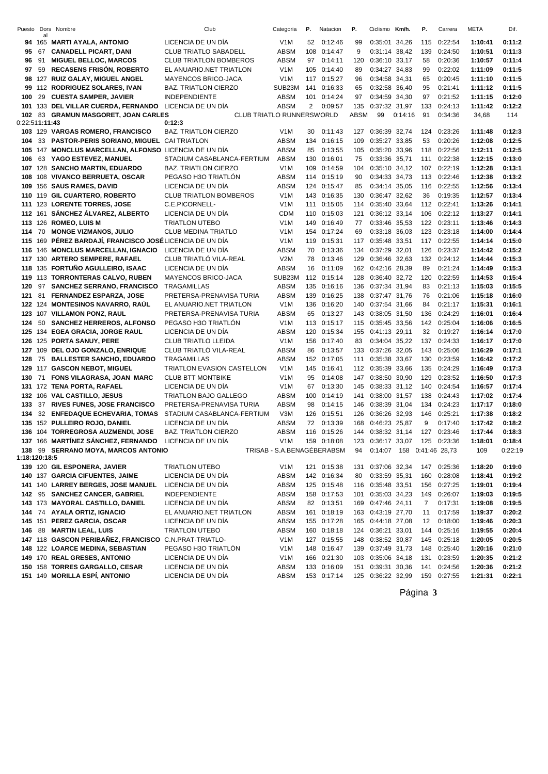| Puesto         |     | Dors Nombre                                                    | Club                                       | Categoria                  | Ρ.             | Natacion                   | Ρ.         | Ciclismo                               | Km/h.   | Ρ.             | Carrera            | META               | Dif.             |
|----------------|-----|----------------------------------------------------------------|--------------------------------------------|----------------------------|----------------|----------------------------|------------|----------------------------------------|---------|----------------|--------------------|--------------------|------------------|
|                | al  | 94 165 MARTI AYALA, ANTONIO                                    | LICENCIA DE UN DÍA                         | V <sub>1</sub> M           | 52             | 0:12:46                    | 99         | 0:35:01 34,26                          |         | 115            | 0:22:54            | 1:10:41            | 0:11:2           |
| 95             | 67  | <b>CANADELL PICART, DANI</b>                                   | <b>CLUB TRIATLO SABADELL</b>               | ABSM                       | 108            | 0:14:47                    | 9          | 0:31:14 38,42                          |         | 139            | 0:24:50            | 1:10:51            | 0:11:3           |
| 96             | 91  | <b>MIGUEL BELLOC, MARCOS</b>                                   | <b>CLUB TRIATLON BOMBEROS</b>              | ABSM                       | 97             | 0:14:11                    | 120        | 0:36:10 33,17                          |         | 58             | 0:20:36            | 1:10:57            | 0:11:4           |
| 97             |     | 59 RECASENS FRISON, ROBERTO                                    | EL ANUARIO.NET TRIATLON                    | V <sub>1</sub> M           |                | 105 0:14:40                | 89         | 0:34:27 34,83                          |         | 99             | 0:22:02            | 1:11:09            | 0:11:5           |
|                |     | 98 127 RUIZ GALAY, MIGUEL ANGEL                                | <b>MAYENCOS BRICO-JACA</b>                 | V <sub>1</sub> M           |                | 117 0:15:27                | 96         | 0:34:58 34,31                          |         | 65             | 0:20:45            | 1:11:10            | 0:11:5           |
|                |     | 99 112 RODRIGUEZ SOLARES, IVAN                                 | <b>BAZ. TRIATLON CIERZO</b>                | SUB23M                     |                | 141 0:16:33                | 65         | 0:32:58                                | 36,40   | 95             | 0:21:41            | 1:11:12            | 0:11:5           |
| 100            | 29  | <b>CUESTA SAMPER, JAVIER</b>                                   | <b>INDEPENDIENTE</b>                       | ABSM                       |                | 101 0:14:24                | 97         | 0:34:59 34,30                          |         | 97             | 0:21:52            | 1:11:15            | 0:12:0           |
| 101            |     | 133 DEL VILLAR CUERDA, FERNANDO                                | LICENCIA DE UN DÍA                         | <b>ABSM</b>                | $\overline{2}$ | 0:09:57                    | 135        | 0:37:32 31,97                          |         | 133            | 0:24:13            | 1:11:42            | 0:12:2           |
| 102            |     | 83 GRAMUN MASGORET, JOAN CARLES                                | CLUB TRIATLO RUNNERSWORLD                  |                            |                |                            | ABSM       | 99                                     | 0:14:16 | 91             | 0:34:36            | 34,68              | 114              |
| 0:22:511:11:43 |     |                                                                | 0:12:3                                     |                            |                |                            |            |                                        |         |                |                    |                    |                  |
|                |     | 103 129 VARGAS ROMERO, FRANCISCO                               | <b>BAZ. TRIATLON CIERZO</b>                | V <sub>1</sub> M           |                | 30 0:11:43                 | 127        | 0:36:39 32,74                          |         | 124            | 0:23:26            | 1:11:48            | 0:12:3           |
| 104            |     | 33 PASTOR-PERIS SORIANO, MIGUEL                                | <b>CAI TRIATLON</b>                        | <b>ABSM</b>                |                | 134 0:16:15                | 109        | 0:35:27 33,85                          |         | 53             | 0:20:26            | 1:12:08            | 0:12:5           |
|                |     | 105 147 MONCLUS MARCELLAN, ALFONSO LICENCIA DE UN DÍA          |                                            | <b>ABSM</b>                | 85             | 0:13:55                    | 105        | 0:35:20 33.96                          |         | 118            | 0:22:56            | 1:12:11            | 0:12:5           |
| 106            |     | 63 YAGO ESTEVEZ, MANUEL                                        | STADIUM CASABLANCA-FERTIUM                 | <b>ABSM</b>                |                | 130 0:16:01                | 75         | 0:33:36 35,71                          |         | 111            | 0:22:38            | 1:12:15            | 0:13:0           |
|                |     | 107 128 SANCHO MARTIN, EDUARDO                                 | <b>BAZ. TRIATLON CIERZO</b>                | V <sub>1</sub> M           | 109            | 0:14:59                    | 104        | 0:35:10                                | 34,12   | 107            | 0:22:19            | 1:12:28            | 0:13:1           |
|                |     | 108 108 VIVANCO BERRUETA, OSCAR                                | PEGASO H3O TRIATLON                        | <b>ABSM</b>                |                | 114 0:15:19                | 90         | 0:34:33 34,73                          |         | 113            | 0:22:46            | 1:12:38            | 0:13:2           |
|                |     | 109 156 SAUS RAMES, DAVID                                      | LICENCIA DE UN DÍA                         | <b>ABSM</b>                |                | 124 0:15:47                | 85         | 0:34:14 35,05                          |         | 116            | 0:22:55            | 1:12:56            | 0:13:4           |
|                |     | 110 119 GIL CUARTERO, ROBERTO                                  | <b>CLUB TRIATLON BOMBEROS</b>              | V <sub>1</sub> M           |                | 143 0:16:35                | 130        | 0:36:47 32,62                          |         | 36             | 0:19:35            | 1:12:57            | 0:13:4           |
|                |     | 111 123 LORENTE TORRES, JOSE                                   | C.E.PICORNELL-                             | V <sub>1</sub> M           |                | 111 0:15:05                | 114        | 0:35:40 33,64                          |         |                | 112 0:22:41        | 1:13:26            | 0:14:1           |
|                |     | 112 161 SÁNCHEZ ÁLVAREZ, ALBERTO                               | LICENCIA DE UN DÍA                         | <b>CDM</b>                 |                | 110 0:15:03                | 121        | 0:36:12 33,14                          |         | 106            | 0:22:12            | 1:13:27            | 0:14:1           |
|                |     | 113 126 ROMEO, LUIS M                                          | <b>TRIATLON UTEBO</b>                      | V <sub>1</sub> M           |                | 149 0:16:49                | 77         | 0:33:46 35,53                          |         | 122            | 0:23:11            | 1:13:46            | 0:14:3           |
| 114            | 70  | <b>MONGE VIZMANOS, JULIO</b>                                   | <b>CLUB MEDINA TRIATLO</b>                 | V <sub>1</sub> M           |                | 154 0:17:24                | 69         | 0:33:18 36,03                          |         | 123            | 0:23:18            | 1:14:00            | 0:14:4           |
|                |     | 115 169 PÉREZ BARDAJÍ, FRANCISCO JOSÉLICENCIA DE UN DÍA        |                                            | V <sub>1</sub> M           |                | 119 0:15:31                | 117        | 0:35:48 33,51                          |         | 117            | 0:22:55            | 1:14:14            | 0:15:0           |
| 116            |     | 146 MONCLUS MARCELLAN, IGNACIO                                 | LICENCIA DE UN DÍA                         | ABSM                       | 70             | 0:13:36                    | 134        | 0:37:29                                | 32,01   | 126            | 0:23:37            | 1:14:42            | 0:15:2           |
|                |     | 117 130 ARTERO SEMPERE, RAFAEL                                 | CLUB TRIATLÓ VILA-REAL                     | V2M                        | 78             | 0:13:46                    | 129        | 0:36:46 32,63                          |         | 132            | 0:24:12            | 1:14:44            | 0:15:3           |
|                |     | 118 135 FORTUÑO AGULLEIRO, ISAAC                               | LICENCIA DE UN DIA                         | <b>ABSM</b>                | 16             | 0:11:09                    | 162        | 0:42:16 28.39                          |         | 89             | 0:21:24            | 1:14:49            | 0:15:3           |
|                |     | 119 113 TORRONTERAS CALVO, RUBEN                               | MAYENCOS BRICO-JACA                        | SUB23M                     |                | 112 0:15:14                | 128        | 0:36:40 32,72                          |         | 120            | 0:22:59            | 1:14:53            | 0:15:4           |
| 120            | 97  | <b>SANCHEZ SERRANO, FRANCISCO</b>                              | <b>TRAGAMILLAS</b>                         | <b>ABSM</b>                |                | 135 0:16:16                | 136        | 0:37:34 31,94                          |         | 83             | 0:21:13            | 1:15:03            | 0:15:5           |
| 121            | 81  | <b>FERNANDEZ ESPARZA, JOSE</b>                                 | PRETERSA-PRENAVISA TURIA                   | <b>ABSM</b>                |                | 139 0:16:25                | 138        | 0:37:47 31,76                          |         | 76             | 0:21:06            | 1:15:18            | 0:16:0           |
|                |     | 122 124 MONTESINOS NAVARRO, RAUL                               | EL ANUARIO.NET TRIATLON                    | V <sub>1</sub> M           |                | 136 0:16:20                | 140        | 0:37:54 31,66                          |         | 84             | 0:21:17            | 1:15:31            | 0:16:1           |
|                |     | 123 107 VILLAMON PONZ, RAUL                                    | PRETERSA-PRENAVISA TURIA                   | ABSM                       | 65             | 0:13:27                    | 143        | 0:38:05 31,50                          |         | 136            | 0:24:29            | 1:16:01            | 0:16:4           |
| 124            | 50  | <b>SANCHEZ HERREROS, ALFONSO</b>                               | PEGASO H3O TRIATLÓN                        | V <sub>1</sub> M           |                | 113 0:15:17                | 115        | 0:35:45                                | 33,56   | 142            | 0:25:04            | 1:16:06            | 0:16:5           |
|                |     | 125 134 EGEA GRACIA, JORGE RAUL                                | LICENCIA DE UN DÍA                         | <b>ABSM</b>                |                | 120 0:15:34                | 155        | 0:41:13 29,11                          |         | 32             | 0:19:27            | 1:16:14            | 0:17:0           |
|                |     | 126 125 PORTA SANUY, PERE                                      | <b>CLUB TRIATLO LLEIDA</b>                 | V <sub>1</sub> M           |                | 156 0:17:40                | 83         | 0:34:04 35,22                          |         | 137            | 0:24:33            | 1:16:17            | 0:17:0           |
| 127            | 109 | DEL OJO GONZALO, ENRIQUE                                       | CLUB TRIATLÓ VILA-REAL                     | <b>ABSM</b>                | 86             | 0:13:57                    | 133        | 0:37:26                                | 32,05   | 143            | 0:25:06            | 1:16:29            | 0:17:1           |
| 128            |     | 75 BALLESTER SANCHO, EDUARDO                                   | <b>TRAGAMILLAS</b>                         | <b>ABSM</b>                |                | 152 0:17:05                | 111        | 0:35:38 33,67                          |         | 130            | 0:23:59            | 1:16:42            | 0:17:2           |
|                |     | 129 117 GASCON NEBOT, MIGUEL                                   | TRIATLON EVASION CASTELLON                 | V <sub>1</sub> M           |                | 145 0:16:41                | 112        | 0:35:39                                | 33,66   | 135            | 0:24:29            | 1:16:49            | 0:17:3           |
| 130            | 71  | FONS VILAGRASA, JOAN MARC                                      | <b>CLUB BTT MONTBIKE</b>                   | V <sub>1</sub> M           | 95             | 0:14:08                    | 147        | 0:38:50 30,90                          |         | 129            | 0:23:52            | 1:16:50            | 0:17:3           |
|                |     | 131 172 TENA PORTA, RAFAEL                                     | LICENCIA DE UN DÍA                         | V <sub>1</sub> M           | 67             | 0:13:30                    | 145        | 0:38:33 31,12                          |         | 140            | 0:24:54            | 1:16:57            | 0:17:4           |
|                |     | 132 106 VAL CASTILLO, JESUS                                    | <b>TRIATLON BAJO GALLEGO</b>               | ABSM                       |                | 100 0:14:19                | 141        | 0:38:00 31,57                          |         | 138            | 0:24:43            | 1:17:02            | 0:17:4           |
| 133            | 37  | <b>RIVES FUNES, JOSE FRANCISCO</b>                             | PRETERSA-PRENAVISA TURIA                   | ABSM                       | 98             | 0:14:15                    | 146        | 0:38:39                                | 31,04   | 134            | 0:24:23            | 1:17:17            | 0:18:0           |
| 134            |     | 32 ENFEDAQUE ECHEVARIA, TOMAS                                  | STADIUM CASABLANCA-FERTIUM                 | V3M                        |                | 126 0:15:51                | 126        | 0:36:26 32,93                          |         | 146            | 0:25:21            | 1:17:38            | 0:18:2           |
|                |     | 135 152 PULLEIRO ROJO, DANIEL                                  | LICENCIA DE UN DÍA                         | <b>ABSM</b>                | 72             | 0:13:39                    | 168        | 0:46:23 25.87                          |         | 9              | 0:17:40            | 1:17:42            | 0:18:2           |
|                |     | 136 104 TORREGROSA AUZMENDI, JOSE                              | <b>BAZ. TRIATLON CIERZO</b>                | <b>ABSM</b>                |                | 116 0:15:26                | 144        | 0:38:32 31,14                          |         | 127            | 0:23:46            | 1:17:44            | 0:18:3           |
|                |     | 137 166 MARTINEZ SÁNCHEZ, FERNANDO LICENCIA DE UN DÍA          |                                            | V <sub>1</sub> M           |                | 159 0:18:08                | 123        | 0:36:17 33,07 125 0:23:36              |         |                |                    | 1:18:01            | 0:18:4           |
|                |     | 138 99 SERRANO MOYA, MARCOS ANTONIO                            |                                            | TRISAB - S.A.BENAGÉBERABSM |                |                            | 94         | 0:14:07  158  0:41:46  28,73           |         |                |                    | 109                | 0:22:19          |
| 1:18:120:18:5  |     |                                                                |                                            |                            |                |                            |            |                                        |         |                |                    |                    |                  |
|                |     | 139 120 GIL ESPONERA, JAVIER                                   | <b>TRIATLON UTEBO</b>                      | V <sub>1</sub> M           |                | 121 0:15:38                | 131        | 0:37:06 32,34                          |         |                | 147 0:25:36        | 1:18:20            | 0:19:0           |
|                |     | 140 137 GARCIA CIFUENTES, JAIME                                | LICENCIA DE UN DÍA                         | ABSM                       |                | 142 0:16:34                | 80         | 0:33:59 35,31                          |         | 160            | 0:28:08            | 1:18:41            | 0:19:2           |
|                |     | 141 140 LARREY BERGES, JOSE MANUEL                             | LICENCIA DE UN DÍA                         | ABSM                       |                | 125 0:15:48                |            | 116 0:35:48 33,51                      |         | 156            | 0:27:25            | 1:19:01            | 0:19:4           |
|                |     | 142 95 SANCHEZ CANCER, GABRIEL                                 | <b>INDEPENDIENTE</b><br>LICENCIA DE UN DÍA | ABSM                       |                | 158 0:17:53<br>82 0:13:51  |            | 101 0:35:03 34,23                      |         | 149            | 0:26:07            | 1:19:03<br>1:19:08 | 0:19:5           |
|                |     | 143 173 MAYORAL CASTILLO, DANIEL                               | EL ANUARIO.NET TRIATLON                    | ABSM                       |                |                            | 169        | 0:47:46 24,11                          |         | $\overline{7}$ | 0:17:31            |                    | 0:19:5           |
|                |     | 144 74 AYALA ORTIZ, IGNACIO<br>145 151 PEREZ GARCIA, OSCAR     | LICENCIA DE UN DÍA                         | ABSM<br><b>ABSM</b>        |                | 161 0:18:19<br>155 0:17:28 |            | 163 0:43:19 27,70<br>165 0:44:18 27,08 |         | 11<br>12       | 0:17:59<br>0:18:00 | 1:19:37            | 0:20:2           |
|                |     | 146 88 MARTIN LEAL, LUIS                                       | <b>TRIATLON UTEBO</b>                      | ABSM                       |                | 160 0:18:18                | 124        | 0:36:21 33,01                          |         |                | 144 0:25:16        | 1:19:46<br>1:19:55 | 0:20:3           |
|                |     | 147 118 GASCON PERIBAÑEZ, FRANCISCO C.N.PRAT-TRIATLO-          |                                            | V <sub>1</sub> M           |                | 127 0:15:55                | 148        | 0:38:52 30,87                          |         |                | 145 0:25:18        | 1:20:05            | 0:20:4<br>0:20:5 |
|                |     | 148 122 LOARCE MEDINA, SEBASTIAN                               | PEGASO H3O TRIATLON                        | V <sub>1</sub> M           |                | 148 0:16:47                | 139        | 0:37:49 31,73                          |         | 148            | 0:25:40            | 1:20:16            | 0:21:0           |
|                |     |                                                                |                                            |                            |                |                            |            |                                        |         |                |                    |                    |                  |
|                |     | 149 170 REAL GRESES, ANTONIO<br>150 158 TORRES GARGALLO, CESAR | LICENCIA DE UN DÍA<br>LICENCIA DE UN DÍA   | V <sub>1</sub> M<br>ABSM   |                | 166 0:21:30<br>133 0:16:09 | 103<br>151 | 0:35:06 34,18<br>0:39:31 30,36         |         | 131<br>141     | 0:23:59<br>0:24:56 | 1:20:35<br>1:20:36 | 0:21:2<br>0:21:2 |
|                |     | 151 149 MORILLA ESPÍ, ANTONIO                                  | LICENCIA DE UN DÍA                         | ABSM                       |                | 153 0:17:14                |            | 125 0:36:22 32,99                      |         |                | 159 0:27:55        | 1:21:31            | 0:22:1           |
|                |     |                                                                |                                            |                            |                |                            |            |                                        |         |                |                    |                    |                  |

Página **3**